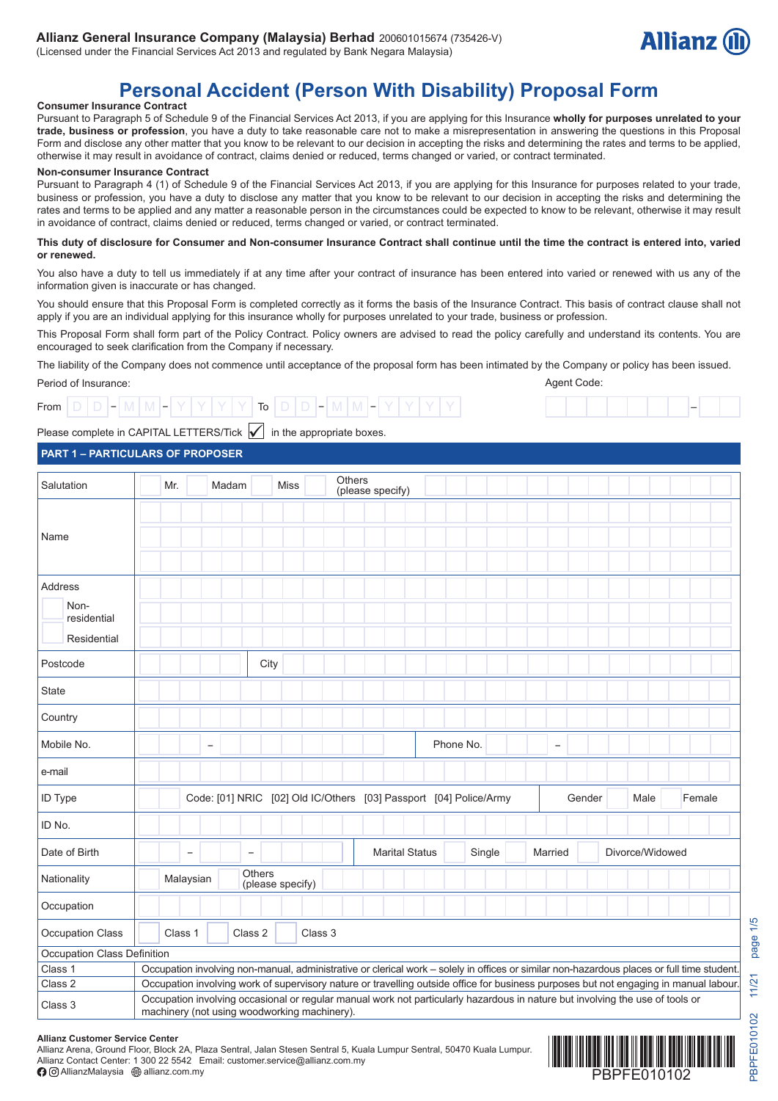

# **Personal Accident (Person With Disability) Proposal Form**

#### **Consumer Insurance Contract**

Pursuant to Paragraph 5 of Schedule 9 of the Financial Services Act 2013, if you are applying for this Insurance **wholly for purposes unrelated to your trade, business or profession**, you have a duty to take reasonable care not to make a misrepresentation in answering the questions in this Proposal Form and disclose any other matter that you know to be relevant to our decision in accepting the risks and determining the rates and terms to be applied, otherwise it may result in avoidance of contract, claims denied or reduced, terms changed or varied, or contract terminated.

#### **Non-consumer Insurance Contract**

Pursuant to Paragraph 4 (1) of Schedule 9 of the Financial Services Act 2013, if you are applying for this Insurance for purposes related to your trade, business or profession, you have a duty to disclose any matter that you know to be relevant to our decision in accepting the risks and determining the rates and terms to be applied and any matter a reasonable person in the circumstances could be expected to know to be relevant, otherwise it may result in avoidance of contract, claims denied or reduced, terms changed or varied, or contract terminated.

#### **This duty of disclosure for Consumer and Non-consumer Insurance Contract shall continue until the time the contract is entered into, varied or renewed.**

You also have a duty to tell us immediately if at any time after your contract of insurance has been entered into varied or renewed with us any of the information given is inaccurate or has changed.

You should ensure that this Proposal Form is completed correctly as it forms the basis of the Insurance Contract. This basis of contract clause shall not apply if you are an individual applying for this insurance wholly for purposes unrelated to your trade, business or profession.

This Proposal Form shall form part of the Policy Contract. Policy owners are advised to read the policy carefully and understand its contents. You are encouraged to seek clarification from the Company if necessary.

The liability of the Company does not commence until acceptance of the proposal form has been intimated by the Company or policy has been issued. Agent Code:

#### Period of Insurance:

| .    |  |                                                                                                                                                                                               |  |  |  |                 |  |                                   |  |  |  |
|------|--|-----------------------------------------------------------------------------------------------------------------------------------------------------------------------------------------------|--|--|--|-----------------|--|-----------------------------------|--|--|--|
| From |  | $\begin{array}{c} \begin{array}{c} \text{I} - \text{I} \text{M} \text{I} \text{M} \text{I} - \text{I} \text{Y} \text{I} \text{Y} \text{I} \text{Y} \text{I} \text{Y} \end{array} \end{array}$ |  |  |  | To <sub>1</sub> |  | - - - - - - - M + IVI + - + - + - |  |  |  |



#### Please complete in CAPITAL LETTERS/Tick  $\vert \checkmark \vert$  in the appropriate boxes.

#### **PART 1 – PARTICULARS OF PROPOSER**

| Salutation                                    | Mr.                                                                                                                                        |                                                                                                                                                                                                                                                                                                                        | Madam |                          | <b>Miss</b>      | Others                                                            | (please specify) |                       |  |           |        |                   |        |                 |        |  |
|-----------------------------------------------|--------------------------------------------------------------------------------------------------------------------------------------------|------------------------------------------------------------------------------------------------------------------------------------------------------------------------------------------------------------------------------------------------------------------------------------------------------------------------|-------|--------------------------|------------------|-------------------------------------------------------------------|------------------|-----------------------|--|-----------|--------|-------------------|--------|-----------------|--------|--|
| Name                                          |                                                                                                                                            |                                                                                                                                                                                                                                                                                                                        |       |                          |                  |                                                                   |                  |                       |  |           |        |                   |        |                 |        |  |
| Address<br>Non-<br>residential<br>Residential |                                                                                                                                            |                                                                                                                                                                                                                                                                                                                        |       |                          |                  |                                                                   |                  |                       |  |           |        |                   |        |                 |        |  |
| Postcode                                      |                                                                                                                                            |                                                                                                                                                                                                                                                                                                                        |       | City                     |                  |                                                                   |                  |                       |  |           |        |                   |        |                 |        |  |
| State                                         |                                                                                                                                            |                                                                                                                                                                                                                                                                                                                        |       |                          |                  |                                                                   |                  |                       |  |           |        |                   |        |                 |        |  |
| Country                                       |                                                                                                                                            |                                                                                                                                                                                                                                                                                                                        |       |                          |                  |                                                                   |                  |                       |  |           |        |                   |        |                 |        |  |
| Mobile No.                                    |                                                                                                                                            | $\overline{\phantom{a}}$                                                                                                                                                                                                                                                                                               |       |                          |                  |                                                                   |                  |                       |  | Phone No. |        | $\qquad \qquad -$ |        |                 |        |  |
| e-mail                                        |                                                                                                                                            |                                                                                                                                                                                                                                                                                                                        |       |                          |                  |                                                                   |                  |                       |  |           |        |                   |        |                 |        |  |
| ID Type                                       |                                                                                                                                            |                                                                                                                                                                                                                                                                                                                        |       |                          |                  | Code: [01] NRIC [02] Old IC/Others [03] Passport [04] Police/Army |                  |                       |  |           |        |                   | Gender | Male            | Female |  |
| ID No.                                        |                                                                                                                                            |                                                                                                                                                                                                                                                                                                                        |       |                          |                  |                                                                   |                  |                       |  |           |        |                   |        |                 |        |  |
| Date of Birth                                 |                                                                                                                                            | $\overline{\phantom{0}}$                                                                                                                                                                                                                                                                                               |       | $\overline{\phantom{0}}$ |                  |                                                                   |                  | <b>Marital Status</b> |  |           | Single | Married           |        | Divorce/Widowed |        |  |
| Nationality                                   |                                                                                                                                            | Malaysian                                                                                                                                                                                                                                                                                                              |       | <b>Others</b>            | (please specify) |                                                                   |                  |                       |  |           |        |                   |        |                 |        |  |
| Occupation                                    |                                                                                                                                            |                                                                                                                                                                                                                                                                                                                        |       |                          |                  |                                                                   |                  |                       |  |           |        |                   |        |                 |        |  |
| Occupation Class                              |                                                                                                                                            | Class 1                                                                                                                                                                                                                                                                                                                |       | Class 2                  |                  | Class 3                                                           |                  |                       |  |           |        |                   |        |                 |        |  |
| Occupation Class Definition                   |                                                                                                                                            |                                                                                                                                                                                                                                                                                                                        |       |                          |                  |                                                                   |                  |                       |  |           |        |                   |        |                 |        |  |
| Class 1                                       | Occupation involving non-manual, administrative or clerical work - solely in offices or similar non-hazardous places or full time student. |                                                                                                                                                                                                                                                                                                                        |       |                          |                  |                                                                   |                  |                       |  |           |        |                   |        |                 |        |  |
| Class 2                                       |                                                                                                                                            |                                                                                                                                                                                                                                                                                                                        |       |                          |                  |                                                                   |                  |                       |  |           |        |                   |        |                 |        |  |
| Class 3                                       |                                                                                                                                            | Occupation involving work of supervisory nature or travelling outside office for business purposes but not engaging in manual labour.<br>Occupation involving occasional or regular manual work not particularly hazardous in nature but involving the use of tools or<br>machinery (not using woodworking machinery). |       |                          |                  |                                                                   |                  |                       |  |           |        |                   |        |                 |        |  |

#### **Allianz Customer Service Center**

Allianz Arena, Ground Floor, Block 2A, Plaza Sentral, Jalan Stesen Sentral 5, Kuala Lumpur Sentral, 50470 Kuala Lumpur. Allianz Contact Center: 1 300 22 5542 Email: customer.service@allianz.com.my **A**  $\odot$  AllianzMalaysia  $\circledR$  allianz.com.my

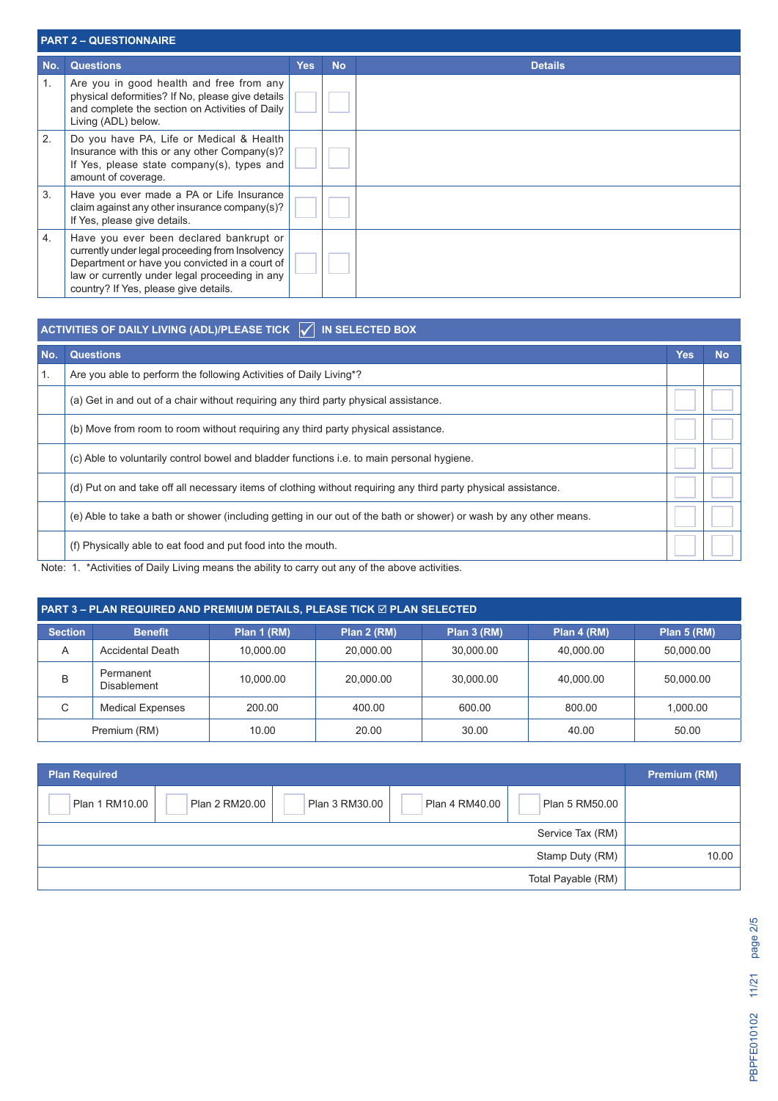|                  | <b>PART 2 - QUESTIONNAIRE</b>                                                                                                                                                                                                            |            |           |                |  |  |  |  |  |  |
|------------------|------------------------------------------------------------------------------------------------------------------------------------------------------------------------------------------------------------------------------------------|------------|-----------|----------------|--|--|--|--|--|--|
| No.              | <b>Questions</b>                                                                                                                                                                                                                         | <b>Yes</b> | <b>No</b> | <b>Details</b> |  |  |  |  |  |  |
| $\mathbf{1}$ .   | Are you in good health and free from any<br>physical deformities? If No, please give details<br>and complete the section on Activities of Daily<br>Living (ADL) below.                                                                   |            |           |                |  |  |  |  |  |  |
| 2.               | Do you have PA, Life or Medical & Health<br>Insurance with this or any other Company(s)?<br>If Yes, please state company(s), types and<br>amount of coverage.                                                                            |            |           |                |  |  |  |  |  |  |
| 3.               | Have you ever made a PA or Life Insurance<br>claim against any other insurance company(s)?<br>If Yes, please give details.                                                                                                               |            |           |                |  |  |  |  |  |  |
| $\overline{4}$ . | Have you ever been declared bankrupt or<br>currently under legal proceeding from Insolvency<br>Department or have you convicted in a court of<br>law or currently under legal proceeding in any<br>country? If Yes, please give details. |            |           |                |  |  |  |  |  |  |

## **ACTIVITIES OF DAILY LIVING (ADL)/PLEASE TICK IN SELECTED BOX No. Questions Yes No** 1. Are you able to perform the following Activities of Daily Living\*?

| 1. | Are you able to perform the following Activities of Daily Living <sup>*?</sup>                                     |  |
|----|--------------------------------------------------------------------------------------------------------------------|--|
|    | (a) Get in and out of a chair without requiring any third party physical assistance.                               |  |
|    | (b) Move from room to room without requiring any third party physical assistance.                                  |  |
|    | (c) Able to voluntarily control bowel and bladder functions i.e. to main personal hygiene.                         |  |
|    | (d) Put on and take off all necessary items of clothing without requiring any third party physical assistance.     |  |
|    | (e) Able to take a bath or shower (including getting in our out of the bath or shower) or wash by any other means. |  |
|    | (f) Physically able to eat food and put food into the mouth.                                                       |  |

Note: 1. \*Activities of Daily Living means the ability to carry out any of the above activities.

### **PART 3 – PLAN REQUIRED AND PREMIUM DETAILS, PLEASE TICK ⊠ PLAN SELECTED**

| <b>Section</b> | <b>Benefit</b>                  | Plan 1 (RM) | Plan 2 (RM) | Plan 3 (RM) | Plan 4 (RM) | Plan 5 (RM) |
|----------------|---------------------------------|-------------|-------------|-------------|-------------|-------------|
| A              | <b>Accidental Death</b>         | 10.000.00   | 20,000.00   | 30.000.00   | 40.000.00   | 50.000.00   |
| B              | Permanent<br><b>Disablement</b> | 10,000.00   | 20,000.00   | 30,000.00   | 40,000.00   | 50,000.00   |
| С              | <b>Medical Expenses</b>         | 200.00      | 400.00      | 600.00      | 800.00      | 1,000.00    |
|                | Premium (RM)                    | 10.00       | 20.00       | 30.00       | 40.00       | 50.00       |

| <b>Plan Required</b>                                                                   | <b>Premium (RM)</b> |
|----------------------------------------------------------------------------------------|---------------------|
| Plan 3 RM30.00<br>Plan 1 RM10.00<br>Plan 2 RM20.00<br>Plan 4 RM40.00<br>Plan 5 RM50.00 |                     |
| Service Tax (RM)                                                                       |                     |
| Stamp Duty (RM)                                                                        | 10.00               |
| Total Payable (RM)                                                                     |                     |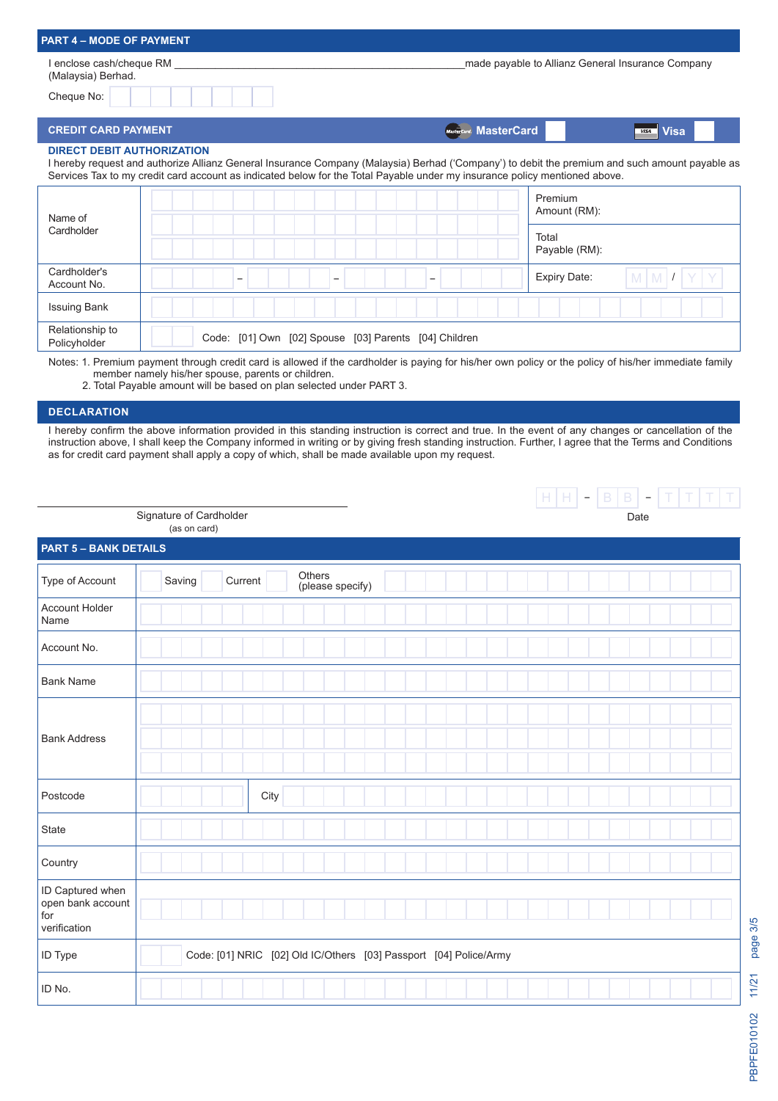| <b>PART 4 – MODE OF PAYMENT</b>                              |                                                                                                                            |                                                                                                                                                |  |
|--------------------------------------------------------------|----------------------------------------------------------------------------------------------------------------------------|------------------------------------------------------------------------------------------------------------------------------------------------|--|
| l enclose cash/cheque RM<br>(Malaysia) Berhad.<br>Cheque No: |                                                                                                                            | made payable to Allianz General Insurance Company                                                                                              |  |
| <b>CREDIT CARD PAYMENT</b>                                   |                                                                                                                            | <b>MasterCard.</b> MasterCard<br><b>Visa</b><br><b>VISA</b>                                                                                    |  |
| <b>DIRECT DEBIT AUTHORIZATION</b>                            | Services Tax to my credit card account as indicated below for the Total Payable under my insurance policy mentioned above. | I hereby request and authorize Allianz General Insurance Company (Malaysia) Berhad ('Company') to debit the premium and such amount payable as |  |
| Name of                                                      |                                                                                                                            | Premium<br>Amount (RM):                                                                                                                        |  |
| Cardholder                                                   |                                                                                                                            | Total<br>Payable (RM):                                                                                                                         |  |
| Cardholder's<br>Account No.                                  | -                                                                                                                          | $M$ $M$ $I$<br><b>Expiry Date:</b>                                                                                                             |  |
| <b>Issuing Bank</b>                                          |                                                                                                                            |                                                                                                                                                |  |
| Relationship to<br>Policyholder                              | Code: [01] Own [02] Spouse [03] Parents [04] Children                                                                      |                                                                                                                                                |  |

Notes: 1. Premium payment through credit card is allowed if the cardholder is paying for his/her own policy or the policy of his/her immediate family member namely his/her spouse, parents or children.

2. Total Payable amount will be based on plan selected under PART 3.

#### **DECLARATION**

I hereby confirm the above information provided in this standing instruction is correct and true. In the event of any changes or cancellation of the instruction above, I shall keep the Company informed in writing or by giving fresh standing instruction. Further, I agree that the Terms and Conditions as for credit card payment shall apply a copy of which, shall be made available upon my request.

|                                                              |                                         |         |                                                                   |  |  |      | $H H  -  B B  -  T T T T $ |
|--------------------------------------------------------------|-----------------------------------------|---------|-------------------------------------------------------------------|--|--|------|----------------------------|
|                                                              | Signature of Cardholder<br>(as on card) |         |                                                                   |  |  | Date |                            |
| <b>PART 5 - BANK DETAILS</b>                                 |                                         |         |                                                                   |  |  |      |                            |
| Type of Account                                              | Saving                                  | Current | Others<br>(please specify)                                        |  |  |      |                            |
| Account Holder<br>Name                                       |                                         |         |                                                                   |  |  |      |                            |
| Account No.                                                  |                                         |         |                                                                   |  |  |      |                            |
| <b>Bank Name</b>                                             |                                         |         |                                                                   |  |  |      |                            |
| <b>Bank Address</b>                                          |                                         |         |                                                                   |  |  |      |                            |
| Postcode                                                     |                                         | City    |                                                                   |  |  |      |                            |
| State                                                        |                                         |         |                                                                   |  |  |      |                            |
| Country                                                      |                                         |         |                                                                   |  |  |      |                            |
| ID Captured when<br>open bank account<br>for<br>verification |                                         |         |                                                                   |  |  |      |                            |
| <b>ID Type</b>                                               |                                         |         | Code: [01] NRIC [02] Old IC/Others [03] Passport [04] Police/Army |  |  |      |                            |
| ID No.                                                       |                                         |         |                                                                   |  |  |      |                            |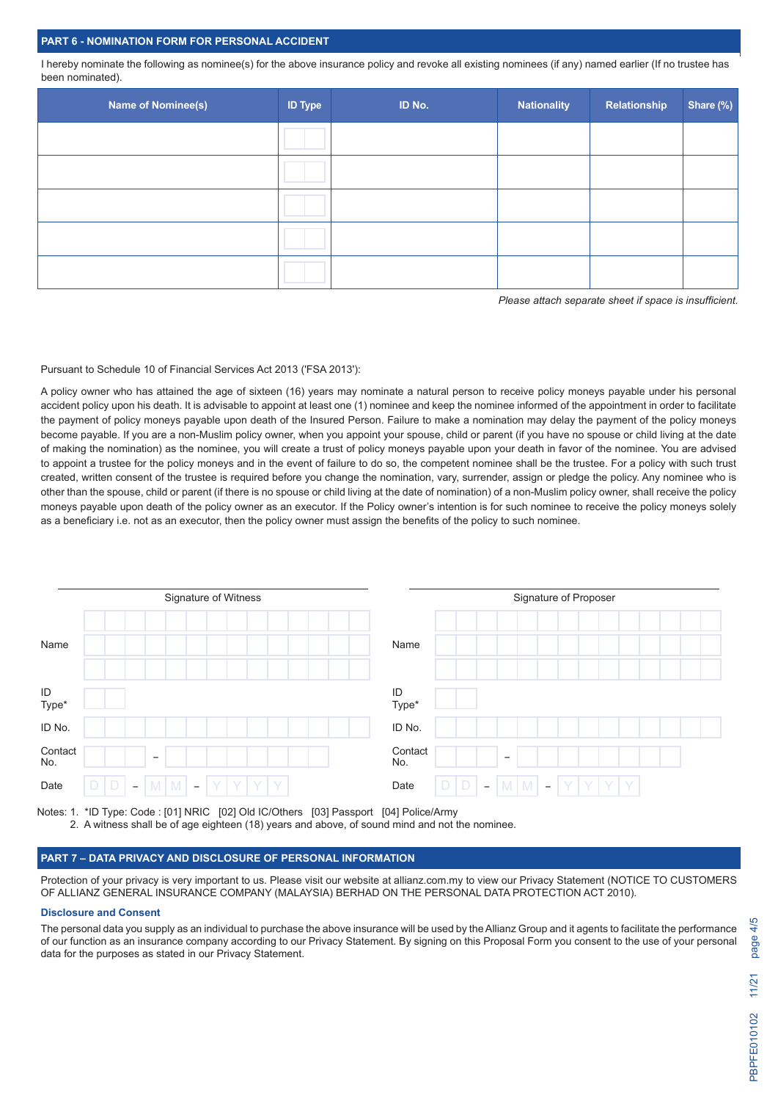#### **PART 6 - NOMINATION FORM FOR PERSONAL ACCIDENT**

I hereby nominate the following as nominee(s) for the above insurance policy and revoke all existing nominees (if any) named earlier (If no trustee has been nominated).

| <b>Name of Nominee(s)</b> | <b>ID Type</b> | ID No. | <b>Nationality</b> | Relationship | Share (%) |
|---------------------------|----------------|--------|--------------------|--------------|-----------|
|                           |                |        |                    |              |           |
|                           |                |        |                    |              |           |
|                           |                |        |                    |              |           |
|                           |                |        |                    |              |           |
|                           |                |        |                    |              |           |

*Please attach separate sheet if space is insufficient.*

#### Pursuant to Schedule 10 of Financial Services Act 2013 ('FSA 2013'):

A policy owner who has attained the age of sixteen (16) years may nominate a natural person to receive policy moneys payable under his personal accident policy upon his death. It is advisable to appoint at least one (1) nominee and keep the nominee informed of the appointment in order to facilitate the payment of policy moneys payable upon death of the Insured Person. Failure to make a nomination may delay the payment of the policy moneys become payable. If you are a non-Muslim policy owner, when you appoint your spouse, child or parent (if you have no spouse or child living at the date of making the nomination) as the nominee, you will create a trust of policy moneys payable upon your death in favor of the nominee. You are advised to appoint a trustee for the policy moneys and in the event of failure to do so, the competent nominee shall be the trustee. For a policy with such trust created, written consent of the trustee is required before you change the nomination, vary, surrender, assign or pledge the policy. Any nominee who is other than the spouse, child or parent (if there is no spouse or child living at the date of nomination) of a non-Muslim policy owner, shall receive the policy moneys payable upon death of the policy owner as an executor. If the Policy owner's intention is for such nominee to receive the policy moneys solely as a beneficiary i.e. not as an executor, then the policy owner must assign the benefits of the policy to such nominee.

|                | Signature of Witness                                                                                | Signature of Proposer                                                                                    |  |  |  |  |  |
|----------------|-----------------------------------------------------------------------------------------------------|----------------------------------------------------------------------------------------------------------|--|--|--|--|--|
| Name           |                                                                                                     | Name                                                                                                     |  |  |  |  |  |
| ID<br>Type*    |                                                                                                     | ID<br>Type*                                                                                              |  |  |  |  |  |
| ID No.         |                                                                                                     | ID No.                                                                                                   |  |  |  |  |  |
| Contact<br>No. | $\overline{\phantom{0}}$                                                                            | Contact<br>$\overline{\phantom{a}}$<br>No.                                                               |  |  |  |  |  |
| Date           | $\mathsf D$<br>D<br>$M$ $M$<br>YY<br>Y<br>Y<br>$\overline{\phantom{a}}$<br>$\overline{\phantom{a}}$ | D<br>D<br> Y Y<br>$M \mid M$<br>Y<br>Y  <br>Date<br>$\overline{\phantom{m}}$<br>$\overline{\phantom{a}}$ |  |  |  |  |  |

Notes: 1. \*ID Type: Code : [01] NRIC [02] Old IC/Others [03] Passport [04] Police/Army 2. A witness shall be of age eighteen (18) years and above, of sound mind and not the nominee.

#### **PART 7 – DATA PRIVACY AND DISCLOSURE OF PERSONAL INFORMATION**

Protection of your privacy is very important to us. Please visit our website at allianz.com.my to view our Privacy Statement (NOTICE TO CUSTOMERS OF ALLIANZ GENERAL INSURANCE COMPANY (MALAYSIA) BERHAD ON THE PERSONAL DATA PROTECTION ACT 2010).

#### **Disclosure and Consent**

The personal data you supply as an individual to purchase the above insurance will be used by the Allianz Group and it agents to facilitate the performance of our function as an insurance company according to our Privacy Statement. By signing on this Proposal Form you consent to the use of your personal data for the purposes as stated in our Privacy Statement.